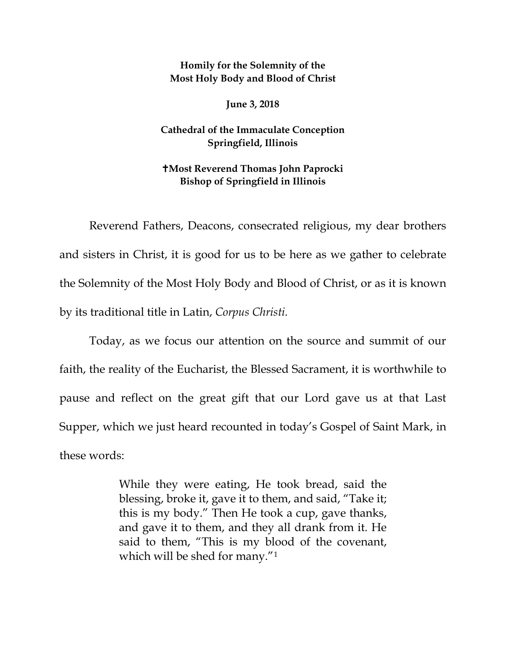**Homily for the Solemnity of the Most Holy Body and Blood of Christ**

**June 3, 2018** 

**Cathedral of the Immaculate Conception Springfield, Illinois**

## **Most Reverend Thomas John Paprocki Bishop of Springfield in Illinois**

Reverend Fathers, Deacons, consecrated religious, my dear brothers and sisters in Christ, it is good for us to be here as we gather to celebrate the Solemnity of the Most Holy Body and Blood of Christ, or as it is known by its traditional title in Latin, *Corpus Christi.*

Today, as we focus our attention on the source and summit of our faith, the reality of the Eucharist, the Blessed Sacrament, it is worthwhile to pause and reflect on the great gift that our Lord gave us at that Last Supper, which we just heard recounted in today's Gospel of Saint Mark, in these words:

> While they were eating, He took bread, said the blessing, broke it, gave it to them, and said, "Take it; this is my body." Then He took a cup, gave thanks, and gave it to them, and they all drank from it. He said to them, "This is my blood of the covenant, which will be shed for many."<sup>[1](#page-3-0)</sup>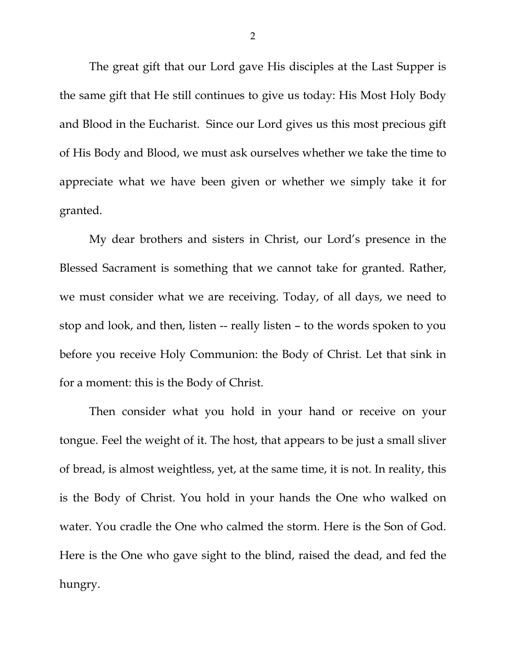The great gift that our Lord gave His disciples at the Last Supper is the same gift that He still continues to give us today: His Most Holy Body and Blood in the Eucharist. Since our Lord gives us this most precious gift of His Body and Blood, we must ask ourselves whether we take the time to appreciate what we have been given or whether we simply take it for granted.

My dear brothers and sisters in Christ, our Lord's presence in the Blessed Sacrament is something that we cannot take for granted. Rather, we must consider what we are receiving. Today, of all days, we need to stop and look, and then, listen -- really listen – to the words spoken to you before you receive Holy Communion: the Body of Christ*.* Let that sink in for a moment: this is the Body of Christ.

Then consider what you hold in your hand or receive on your tongue. Feel the weight of it. The host, that appears to be just a small sliver of bread, is almost weightless, yet, at the same time, it is not. In reality, this is the Body of Christ. You hold in your hands the One who walked on water. You cradle the One who calmed the storm. Here is the Son of God. Here is the One who gave sight to the blind, raised the dead, and fed the hungry.

2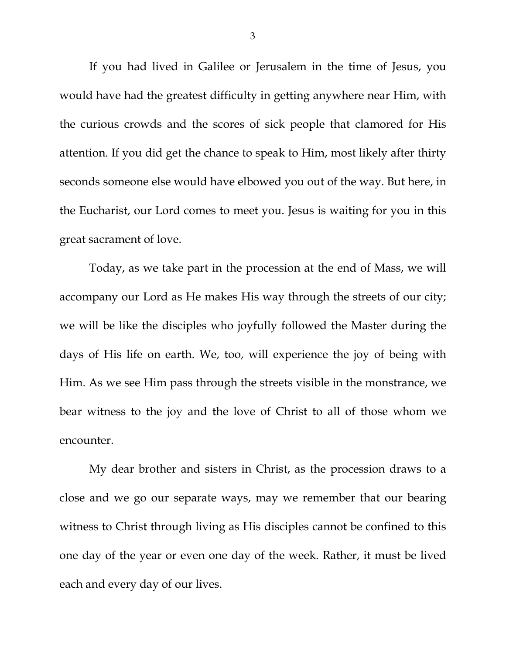If you had lived in Galilee or Jerusalem in the time of Jesus, you would have had the greatest difficulty in getting anywhere near Him, with the curious crowds and the scores of sick people that clamored for His attention. If you did get the chance to speak to Him, most likely after thirty seconds someone else would have elbowed you out of the way. But here, in the Eucharist, our Lord comes to meet you. Jesus is waiting for you in this great sacrament of love.

Today, as we take part in the procession at the end of Mass, we will accompany our Lord as He makes His way through the streets of our city; we will be like the disciples who joyfully followed the Master during the days of His life on earth. We, too, will experience the joy of being with Him. As we see Him pass through the streets visible in the monstrance, we bear witness to the joy and the love of Christ to all of those whom we encounter.

My dear brother and sisters in Christ, as the procession draws to a close and we go our separate ways, may we remember that our bearing witness to Christ through living as His disciples cannot be confined to this one day of the year or even one day of the week. Rather, it must be lived each and every day of our lives.

3